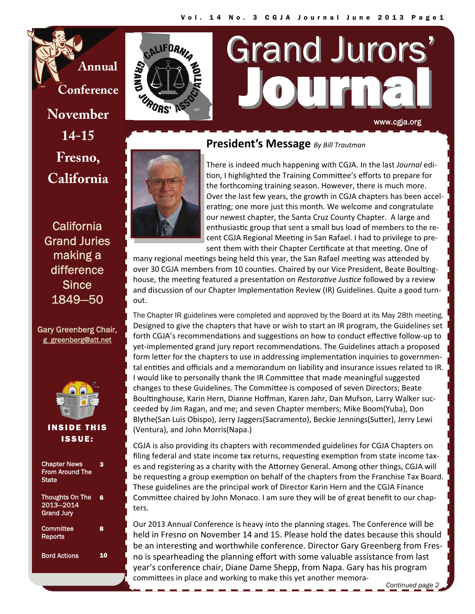**Annual Conference** 

**November 14-15 Fresno, California** 

**California** Grand Juries making a difference **Since** 1849—50

## Gary Greenberg Chair, [g\\_greenberg@att.net](mailto:g_greenberg@att.net)



## INSIDE THIS ISSUE:

| <b>Chapter News</b><br><b>From Around The</b><br><b>State</b> | 3  |
|---------------------------------------------------------------|----|
| <b>Thoughts On The</b><br>2013-2014<br><b>Grand Jury</b>      | R  |
| Committee<br>Reports                                          | 8  |
| <b>Bord Actions</b>                                           | 10 |



# **President's Message** *By Bill Trautman*



There is indeed much happening with CGJA. In the last *Journal* edi‐ tion, I highlighted the Training Committee's efforts to prepare for the forthcoming training season. However, there is much more. Over the last few years, the growth in CGJA chapters has been accel‐ erating; one more just this month. We welcome and congratulate our newest chapter, the Santa Cruz County Chapter. A large and enthusiastic group that sent a small bus load of members to the recent CGJA Regional Meeting in San Rafael. I had to privilege to present them with their Chapter Certificate at that meeting. One of

Journal Journal

www.cgja.org

Grand Jurors

many regional meetings being held this year, the San Rafael meeting was attended by over 30 CGJA members from 10 counties. Chaired by our Vice President, Beate Boultinghouse, the meeting featured a presentation on *Restorative Justice* followed by a review and discussion of our Chapter Implementation Review (IR) Guidelines. Quite a good turnout.

The Chapter IR guidelines were completed and approved by the Board at its May 28th meeting. Designed to give the chapters that have or wish to start an IR program, the Guidelines set forth CGJA's recommendations and suggestions on how to conduct effective follow-up to yet-implemented grand jury report recommendations. The Guidelines attach a proposed form letter for the chapters to use in addressing implementation inquiries to governmental entities and officials and a memorandum on liability and insurance issues related to IR. I would like to personally thank the IR Committee that made meaningful suggested changes to these Guidelines. The Committee is composed of seven Directors; Beate Boultinghouse, Karin Hern, Dianne Hoffman, Karen Jahr, Dan Mufson, Larry Walker succeeded by Jim Ragan, and me; and seven Chapter members; Mike Boom(Yuba), Don Blythe(San Luis Obispo), Jerry Jaggers(Sacramento), Beckie Jennings(Sutter), Jerry Lewi (Ventura), and John Morris(Napa.)

CGJA is also providing its chapters with recommended guidelines for CGJA Chapters on filing federal and state income tax returns, requesting exemption from state income taxes and registering as a charity with the Attorney General. Among other things, CGJA will be requesting a group exemption on behalf of the chapters from the Franchise Tax Board. These guidelines are the principal work of Director Karin Hern and the CGJA Finance Committee chaired by John Monaco. I am sure they will be of great benefit to our chapters.

Our 2013 Annual Conference is heavy into the planning stages. The Conference will be held in Fresno on November 14 and 15. Please hold the dates because this should be an interesting and worthwhile conference. Director Gary Greenberg from Fresno is spearheading the planning effort with some valuable assistance from last year's conference chair, Diane Dame Shepp, from Napa. Gary has his program commiƩees in place and working to make this yet another memora‐ *Continued page 2*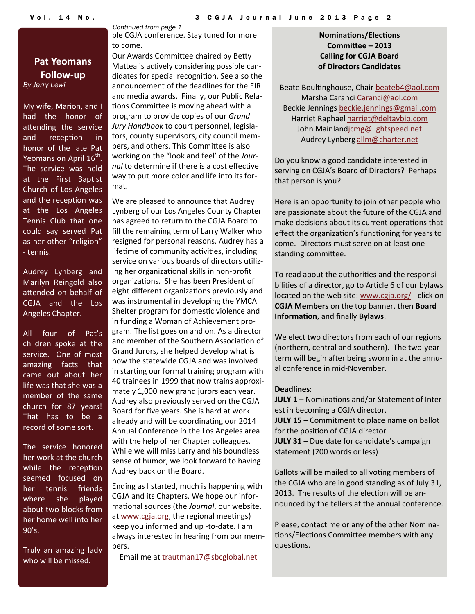## **Pat Yeomans Follow‐up** *By Jerry Lewi*

My wife, Marion, and I had the honor of attending the service and reception in honor of the late Pat Yeomans on April 16<sup>th</sup>. The service was held at the First Baptist Church of Los Angeles and the reception was at the Los Angeles Tennis Club that one could say served Pat as her other "religion" ‐ tennis.

Audrey Lynberg and Marilyn Reingold also attended on behalf of CGJA and the Los Angeles Chapter.

All four of Pat's children spoke at the service. One of most amazing facts that came out about her life was that she was a member of the same church for 87 years! That has to be a record of some sort.

The service honored her work at the church while the reception seemed focused on her tennis friends where she played about two blocks from her home well into her 90's.

Truly an amazing lady who will be missed.

*Continued from page 1*  ble CGJA conference. Stay tuned for more to come.

Our Awards Committee chaired by Betty Mattea is actively considering possible candidates for special recognition. See also the announcement of the deadlines for the EIR and media awards. Finally, our Public Rela‐ tions Committee is moving ahead with a program to provide copies of our *Grand Jury Handbook* to court personnel, legisla‐ tors, county supervisors, city council mem‐ bers, and others. This Committee is also working on the "look and feel' of the *Jour‐ nal* to determine if there is a cost effective way to put more color and life into its for‐ mat.

We are pleased to announce that Audrey Lynberg of our Los Angeles County Chapter has agreed to return to the CGJA Board to fill the remaining term of Larry Walker who resigned for personal reasons. Audrey has a lifetime of community activities, including service on various boards of directors utilizing her organizational skills in non-profit organizations. She has been President of eight different organizations previously and was instrumental in developing the YMCA Shelter program for domestic violence and in funding a Woman of Achievement pro‐ gram. The list goes on and on. As a director and member of the Southern Association of Grand Jurors, she helped develop what is now the statewide CGJA and was involved in starting our formal training program with 40 trainees in 1999 that now trains approxi‐ mately 1,000 new grand jurors each year. Audrey also previously served on the CGJA Board for five years. She is hard at work already and will be coordinating our 2014 Annual Conference in the Los Angeles area with the help of her Chapter colleagues. While we will miss Larry and his boundless sense of humor, we look forward to having Audrey back on the Board.

Ending as I started, much is happening with CGJA and its Chapters. We hope our infor‐ mational sources (the *Journal*, our website, at [www.cgja.org](http://www.cgja.org), the regional meetings) keep you informed and up ‐to‐date. I am always interested in hearing from our mem‐ bers.

Email me at [trautman17@sbcglobal.net](mailto:trautman17@sbcglobal.net)

**NominaƟons/ElecƟons CommiƩee – 2013 Calling for CGJA Board of Directors Candidates**

Beate Boultinghouse, Chair [beateb4@aol.com](mailto:beateb4@aol.com) Marsha Caranci [Caranci@aol.com](mailto:Caranci@aol.com) Beckie Jennings [beckie.jennings@gmail.com](mailto:beckie.jennings@gmail.com) Harriet Raphael [harriet@deltavbio.com](mailto:harriet@deltavbio.com) John Mainland[jcmg@lightspeed.net](mailto:jcmg@lightspeed.net) Audrey Lynberg [allm@charter.net](mailto:allm@charter.net)

Do you know a good candidate interested in serving on CGJA's Board of Directors? Perhaps that person is you?

Here is an opportunity to join other people who are passionate about the future of the CGJA and make decisions about its current operations that effect the organization's functioning for years to come. Directors must serve on at least one standing committee.

To read about the authorities and the responsibilities of a director, go to Article 6 of our bylaws located on the web site: [www.cgja.org/](http://www.cgja.org/) ‐ click on **CGJA Members** on the top banner, then **Board InformaƟon**, and finally **Bylaws**.

We elect two directors from each of our regions (northern, central and southern). The two‐year term will begin after being sworn in at the annual conference in mid‐November.

### **Deadlines**:

**JULY 1** – Nominations and/or Statement of Interest in becoming a CGJA director. **JULY 15** – Commitment to place name on ballot for the position of CGJA director **JULY 31** – Due date for candidate's campaign statement (200 words or less)

Ballots will be mailed to all voting members of the CGJA who are in good standing as of July 31, 2013. The results of the election will be announced by the tellers at the annual conference.

Please, contact me or any of the other Nomina‐ tions/Elections Committee members with any questions.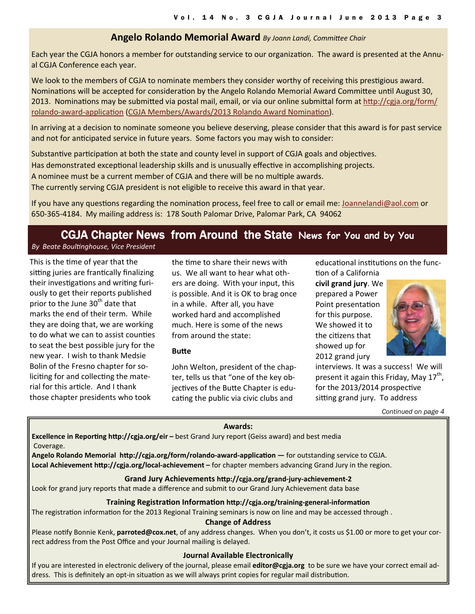## **Angelo Rolando Memorial Award** By Joann Landi, Committee Chair

Each year the CGJA honors a member for outstanding service to our organization. The award is presented at the Annual CGJA Conference each year.

We look to the members of CGJA to nominate members they consider worthy of receiving this prestigious award. Nominations will be accepted for consideration by the Angelo Rolando Memorial Award Committee until August 30, 2013. Nominations may be submitted via postal mail, email, or via our online submittal form at htt[p://cgja.org/form/](http://cgja.org/form/rolando-award-application) [rolando](http://cgja.org/form/rolando-award-application)-award-application (CGJA [Members/Awards/2013](http://cgja.org/form/rolando-award-application) Rolando Award Nomination).

In arriving at a decision to nominate someone you believe deserving, please consider that this award is for past service and not for anticipated service in future years. Some factors you may wish to consider:

Substantive participation at both the state and county level in support of CGJA goals and objectives.

Has demonstrated exceptional leadership skills and is unusually effective in accomplishing projects.

A nominee must be a current member of CGJA and there will be no multiple awards.

The currently serving CGJA president is not eligible to receive this award in that year.

If you have any questions regarding the nomination process, feel free to call or email me: [Joannelandi@aol.com](mailto:Joannelandi@aol.com) or 650‐365‐4184. My mailing address is: 178 South Palomar Drive, Palomar Park, CA 94062

# CGJA Chapter News from Around the State **News for You and by You**

*By Beate BoulƟnghouse, Vice President*

This is the time of year that the sitting juries are frantically finalizing their investigations and writing furiously to get their reports published prior to the June 30<sup>th</sup> date that marks the end of their term. While they are doing that, we are working to do what we can to assist counties to seat the best possible jury for the new year. I wish to thank Medsie Bolin of the Fresno chapter for so‐ liciting for and collecting the material for this article. And I thank those chapter presidents who took

the time to share their news with us. We all want to hear what oth‐ ers are doing. With your input, this is possible. And it is OK to brag once in a while. After all, you have worked hard and accomplished much. Here is some of the news from around the state:

### **BuƩe**

John Welton, president of the chap‐ ter, tells us that "one of the key ob‐ jectives of the Butte Chapter is educating the public via civic clubs and

educational institutions on the func-

tion of a California **civil grand jury**. We prepared a Power Point presentation for this purpose. We showed it to the citizens that showed up for 2012 grand jury



interviews. It was a success! We will present it again this Friday, May  $17^{th}$ , for the 2013/2014 prospective sitting grand jury. To address

*Continued on page 4* 

### **Awards:**

**Excellence in Reporting http://cgja.org/eir** – best Grand Jury report (Geiss award) and best media Coverage.

**Angelo Rolando Memorial hƩp://cgja.org/form/rolando‐award‐applicaƟon —** for outstanding service to CGJA. **Local Achievement http://cgja.org/local-achievement – for chapter members advancing Grand Jury in the region.** 

### **Grand Jury Achievements hƩp://cgja.org/grand‐jury‐achievement‐2**

Look for grand jury reports that made a difference and submit to our Grand Jury Achievement data base

### **Training RegistraƟon InformaƟon hƩp://cgja.org/training‐general‐informaƟon**

The registration information for the 2013 Regional Training seminars is now on line and may be accessed through.

#### **Change of Address**

Please notify Bonnie Kenk, parroted@cox.net, of any address changes. When you don't, it costs us \$1.00 or more to get your correct address from the Post Office and your Journal mailing is delayed.

### **Journal Available Electronically**

If you are interested in electronic delivery of the journal, please email **editor@cgja.org** to be sure we have your correct email ad‐ dress. This is definitely an opt-in situation as we will always print copies for regular mail distribution.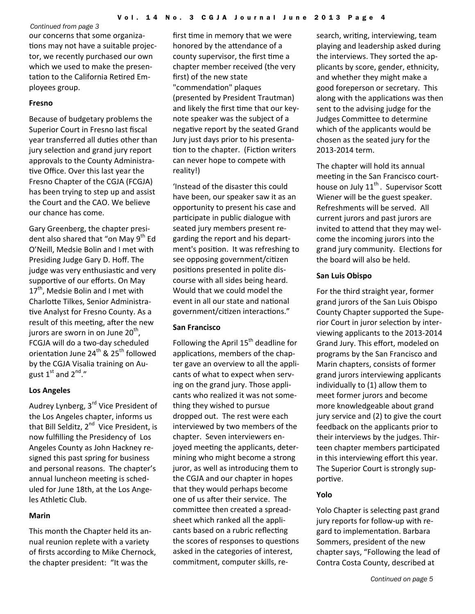our concerns that some organiza‐ tions may not have a suitable projector, we recently purchased our own which we used to make the presen‐ tation to the California Retired Employees group.

## **Fresno**

Because of budgetary problems the Superior Court in Fresno last fiscal year transferred all duties other than jury selection and grand jury report approvals to the County Administra‐ tive Office. Over this last year the Fresno Chapter of the CGJA (FCGJA) has been trying to step up and assist the Court and the CAO. We believe our chance has come.

Gary Greenberg, the chapter presi‐ dent also shared that "on May 9<sup>th</sup> Ed O'Neill, Medsie Bolin and I met with Presiding Judge Gary D. Hoff. The judge was very enthusiastic and very supportive of our efforts. On May 17<sup>th</sup>, Medsie Bolin and I met with Charlotte Tilkes, Senior Administrative Analyst for Fresno County. As a result of this meeting, after the new jurors are sworn in on June  $20<sup>th</sup>$ , FCGJA will do a two‐day scheduled orientation June 24<sup>th</sup> & 25<sup>th</sup> followed by the CGJA Visalia training on Au‐ gust  $1^{\text{st}}$  and  $2^{\text{nd}}$ ."

## **Los Angeles**

Audrey Lynberg, 3<sup>rd</sup> Vice President of the Los Angeles chapter, informs us that Bill Selditz, 2<sup>nd</sup> Vice President, is now fulfilling the Presidency of Los Angeles County as John Hackney re‐ signed this past spring for business and personal reasons. The chapter's annual luncheon meeting is scheduled for June 18th, at the Los Ange‐ les Athletic Club.

## **Marin**

This month the Chapter held its an‐ nual reunion replete with a variety of firsts according to Mike Chernock, the chapter president: "It was the

first time in memory that we were honored by the attendance of a county supervisor, the first time a chapter member received (the very first) of the new state "commendation" plaques (presented by President Trautman) and likely the first time that our keynote speaker was the subject of a negative report by the seated Grand Jury just days prior to his presenta‐ tion to the chapter. (Fiction writers can never hope to compete with reality!)

'Instead of the disaster this could have been, our speaker saw it as an opportunity to present his case and participate in public dialogue with seated jury members present re‐ garding the report and his depart‐ ment's position. It was refreshing to see opposing government/citizen positions presented in polite discourse with all sides being heard. Would that we could model the event in all our state and national government/citizen interactions."

### **San Francisco**

Following the April  $15<sup>th</sup>$  deadline for applications, members of the chapter gave an overview to all the appli‐ cants of what to expect when serv‐ ing on the grand jury. Those appli‐ cants who realized it was not some‐ thing they wished to pursue dropped out. The rest were each interviewed by two members of the chapter. Seven interviewers en‐ joyed meeting the applicants, determining who might become a strong juror, as well as introducing them to the CGJA and our chapter in hopes that they would perhaps become one of us after their service. The committee then created a spreadsheet which ranked all the appli‐ cants based on a rubric reflecting the scores of responses to questions asked in the categories of interest, commitment, computer skills, re‐

search, writing, interviewing, team playing and leadership asked during the interviews. They sorted the ap‐ plicants by score, gender, ethnicity, and whether they might make a good foreperson or secretary. This along with the applications was then sent to the advising judge for the Judges Committee to determine which of the applicants would be chosen as the seated jury for the 2013‐2014 term.

The chapter will hold its annual meeting in the San Francisco courthouse on July  $11<sup>th</sup>$ . Supervisor Scott Wiener will be the guest speaker. Refreshments will be served. All current jurors and past jurors are invited to attend that they may welcome the incoming jurors into the grand jury community. Elections for the board will also be held.

### **San Luis Obispo**

For the third straight year, former grand jurors of the San Luis Obispo County Chapter supported the Supe‐ rior Court in juror selection by interviewing applicants to the 2013‐2014 Grand Jury. This effort, modeled on programs by the San Francisco and Marin chapters, consists of former grand jurors interviewing applicants individually to (1) allow them to meet former jurors and become more knowledgeable about grand jury service and (2) to give the court feedback on the applicants prior to their interviews by the judges. Thir‐ teen chapter members participated in this interviewing effort this year. The Superior Court is strongly sup‐ portive.

## **Yolo**

Yolo Chapter is selecting past grand jury reports for follow‐up with re‐ gard to implementation. Barbara Sommers, president of the new chapter says, "Following the lead of Contra Costa County, described at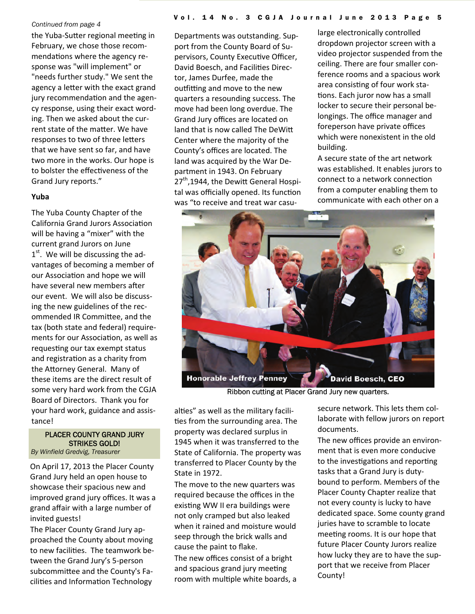the Yuba-Sutter regional meeting in February, we chose those recom‐ mendations where the agency response was "will implement" or "needs further study." We sent the agency a letter with the exact grand jury recommendation and the agency response, using their exact word‐ ing. Then we asked about the cur‐ rent state of the matter. We have responses to two of three letters that we have sent so far, and have two more in the works. Our hope is to bolster the effectiveness of the Grand Jury reports."

### **Yuba**

The Yuba County Chapter of the California Grand Jurors Association will be having a "mixer" with the current grand Jurors on June  $1<sup>st</sup>$ . We will be discussing the advantages of becoming a member of our Association and hope we will have several new members after our event. We will also be discuss‐ ing the new guidelines of the rec‐ ommended IR Committee, and the tax (both state and federal) require‐ ments for our Association, as well as requesting our tax exempt status and registration as a charity from the Attorney General. Many of these items are the direct result of some very hard work from the CGJA Board of Directors. Thank you for your hard work, guidance and assis‐ tance!

## PLACER COUNTY GRAND JURY STRIKES GOLD!

*By Winfield Gredvig, Treasurer* 

On April 17, 2013 the Placer County Grand Jury held an open house to showcase their spacious new and improved grand jury offices. It was a grand affair with a large number of invited guests!

The Placer County Grand Jury ap‐ proached the County about moving to new facilities. The teamwork between the Grand Jury's 5‐person subcommittee and the County's Facilities and Information Technology

Departments was outstanding. Sup‐ port from the County Board of Su‐ pervisors, County Executive Officer, David Boesch, and Facilities Director, James Durfee, made the outfitting and move to the new quarters a resounding success. The move had been long overdue. The Grand Jury offices are located on land that is now called The DeWitt Center where the majority of the County's offices are located. The land was acquired by the War De‐ partment in 1943. On February  $27<sup>th</sup>$ ,1944, the Dewitt General Hospital was officially opened. Its function was "to receive and treat war casu-

large electronically controlled dropdown projector screen with a video projector suspended from the ceiling. There are four smaller con‐ ference rooms and a spacious work area consisting of four work stations. Each juror now has a small locker to secure their personal be‐ longings. The office manager and foreperson have private offices which were nonexistent in the old building.

A secure state of the art network was established. It enables jurors to connect to a network connection from a computer enabling them to communicate with each other on a



Ribbon cutting at Placer Grand Jury new quarters.

alties" as well as the military facilities from the surrounding area. The property was declared surplus in 1945 when it was transferred to the State of California. The property was transferred to Placer County by the State in 1972.

The move to the new quarters was required because the offices in the existing WW II era buildings were not only cramped but also leaked when it rained and moisture would seep through the brick walls and cause the paint to flake.

The new offices consist of a bright and spacious grand jury meeting room with multiple white boards, a secure network. This lets them col‐ laborate with fellow jurors on report documents.

The new offices provide an environ‐ ment that is even more conducive to the investigations and reporting tasks that a Grand Jury is duty‐ bound to perform. Members of the Placer County Chapter realize that not every county is lucky to have dedicated space. Some county grand juries have to scramble to locate meeting rooms. It is our hope that future Placer County Jurors realize how lucky they are to have the sup‐ port that we receive from Placer County!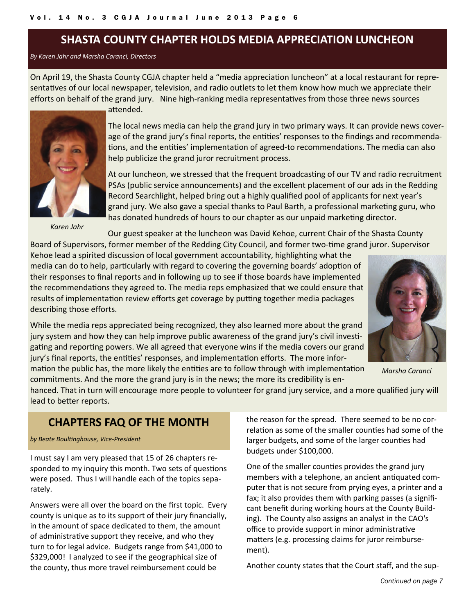## **SHASTA COUNTY CHAPTER HOLDS MEDIA APPRECIATION LUNCHEON**

### *By Karen Jahr and Marsha Caranci, Directors*

On April 19, the Shasta County CGJA chapter held a "media appreciation luncheon" at a local restaurant for representatives of our local newspaper, television, and radio outlets to let them know how much we appreciate their efforts on behalf of the grand jury. Nine high-ranking media representatives from those three news sources



*Karen Jahr*

attended.

The local news media can help the grand jury in two primary ways. It can provide news cover‐ age of the grand jury's final reports, the entities' responses to the findings and recommendations, and the entities' implementation of agreed-to recommendations. The media can also help publicize the grand juror recruitment process.

At our luncheon, we stressed that the frequent broadcasting of our TV and radio recruitment PSAs (public service announcements) and the excellent placement of our ads in the Redding Record Searchlight, helped bring out a highly qualified pool of applicants for next year's grand jury. We also gave a special thanks to Paul Barth, a professional marketing guru, who has donated hundreds of hours to our chapter as our unpaid marketing director.

Our guest speaker at the luncheon was David Kehoe, current Chair of the Shasta County Board of Supervisors, former member of the Redding City Council, and former two-time grand juror. Supervisor

Kehoe lead a spirited discussion of local government accountability, highlighting what the media can do to help, particularly with regard to covering the governing boards' adoption of their responses to final reports and in following up to see if those boards have implemented the recommendations they agreed to. The media reps emphasized that we could ensure that results of implementation review efforts get coverage by putting together media packages describing those efforts.

While the media reps appreciated being recognized, they also learned more about the grand jury system and how they can help improve public awareness of the grand jury's civil investigating and reporting powers. We all agreed that everyone wins if the media covers our grand jury's final reports, the entities' responses, and implementation efforts. The more information the public has, the more likely the entities are to follow through with implementation



*Marsha Caranci*

commitments. And the more the grand jury is in the news; the more its credibility is en‐ hanced. That in turn will encourage more people to volunteer for grand jury service, and a more qualified jury will lead to better reports.

## **CHAPTERS FAQ OF THE MONTH**

*by Beate BoulƟnghouse, Vice‐President*

I must say I am very pleased that 15 of 26 chapters re‐ sponded to my inquiry this month. Two sets of questions were posed. Thus I will handle each of the topics sepa‐ rately.

Answers were all over the board on the first topic. Every county is unique as to its support of their jury financially, in the amount of space dedicated to them, the amount of administrative support they receive, and who they turn to for legal advice. Budgets range from \$41,000 to \$329,000! I analyzed to see if the geographical size of the county, thus more travel reimbursement could be

the reason for the spread. There seemed to be no cor‐ relation as some of the smaller counties had some of the larger budgets, and some of the larger counties had budgets under \$100,000.

One of the smaller counties provides the grand jury members with a telephone, an ancient antiquated computer that is not secure from prying eyes, a printer and a fax; it also provides them with parking passes (a significant benefit during working hours at the County Build‐ ing). The County also assigns an analyst in the CAO's office to provide support in minor administrative matters (e.g. processing claims for juror reimbursement).

Another county states that the Court staff, and the sup‐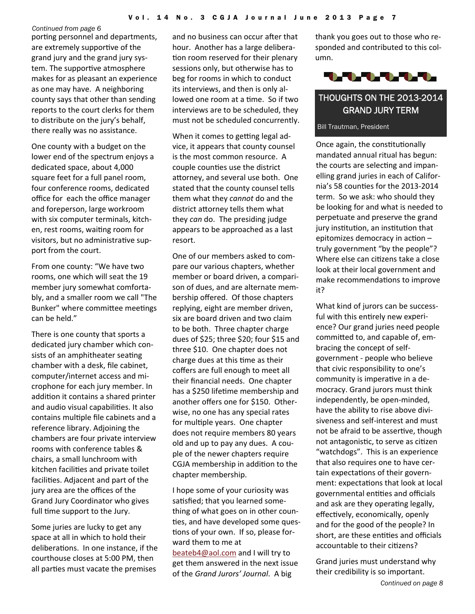porting personnel and departments, are extremely supportive of the grand jury and the grand jury sys‐ tem. The supportive atmosphere makes for as pleasant an experience as one may have. A neighboring county says that other than sending reports to the court clerks for them to distribute on the jury's behalf, there really was no assistance.

One county with a budget on the lower end of the spectrum enjoys a dedicated space, about 4,000 square feet for a full panel room, four conference rooms, dedicated office for each the office manager and foreperson, large workroom with six computer terminals, kitch‐ en, rest rooms, waiting room for visitors, but no administrative support from the court.

From one county: "We have two rooms, one which will seat the 19 member jury somewhat comforta‐ bly, and a smaller room we call "The Bunker" where committee meetings can be held."

There is one county that sports a dedicated jury chamber which con‐ sists of an amphitheater seating chamber with a desk, file cabinet, computer/internet access and mi‐ crophone for each jury member. In addition it contains a shared printer and audio visual capabilities. It also contains multiple file cabinets and a reference library. Adjoining the chambers are four private interview rooms with conference tables & chairs, a small lunchroom with kitchen facilities and private toilet facilities. Adjacent and part of the jury area are the offices of the Grand Jury Coordinator who gives full time support to the Jury.

Some juries are lucky to get any space at all in which to hold their deliberations. In one instance, if the courthouse closes at 5:00 PM, then all parties must vacate the premises

and no business can occur after that hour. Another has a large delibera‐ tion room reserved for their plenary sessions only, but otherwise has to beg for rooms in which to conduct its interviews, and then is only al‐ lowed one room at a time. So if two interviews are to be scheduled, they must not be scheduled concurrently.

When it comes to getting legal advice, it appears that county counsel is the most common resource. A couple counƟes use the district attorney, and several use both. One stated that the county counsel tells them what they *cannot* do and the district attorney tells them what they *can* do. The presiding judge appears to be approached as a last resort.

One of our members asked to com‐ pare our various chapters, whether member or board driven, a compari‐ son of dues, and are alternate mem‐ bership offered. Of those chapters replying, eight are member driven, six are board driven and two claim to be both. Three chapter charge dues of \$25; three \$20; four \$15 and three \$10. One chapter does not charge dues at this time as their coffers are full enough to meet all their financial needs. One chapter has a \$250 lifetime membership and another offers one for \$150. Other‐ wise, no one has any special rates for multiple years. One chapter does not require members 80 years old and up to pay any dues. A cou‐ ple of the newer chapters require CGJA membership in addition to the chapter membership.

I hope some of your curiosity was satisfied; that you learned something of what goes on in other coun‐ ties, and have developed some questions of your own. If so, please forward them to me at [beateb4@aol.com](mailto:beateb4@aol.com) and I will try to get them answered in the next issue of the *Grand Jurors' Journal*. A big

thank you goes out to those who re‐ sponded and contributed to this col‐ umn.



## THOUGHTS ON THE 2013-2014 GRAND JURY TERM

### Bill Trautman, President

Once again, the constitutionally mandated annual ritual has begun: the courts are selecting and impanelling grand juries in each of Califor‐ nia's 58 counties for the 2013-2014 term. So we ask: who should they be looking for and what is needed to perpetuate and preserve the grand jury institution, an institution that epitomizes democracy in action truly government "by the people"? Where else can citizens take a close look at their local government and make recommendations to improve it?

What kind of jurors can be success‐ ful with this entirely new experience? Our grand juries need people committed to, and capable of, embracing the concept of self‐ government ‐ people who believe that civic responsibility to one's community is imperative in a democracy. Grand jurors must think independently, be open‐minded, have the ability to rise above divi‐ siveness and self‐interest and must not be afraid to be assertive, though not antagonistic, to serve as citizen "watchdogs". This is an experience that also requires one to have cer‐ tain expectations of their government: expectations that look at local governmental entities and officials and ask are they operating legally, effectively, economically, openly and for the good of the people? In short, are these entities and officials accountable to their citizens?

Grand juries must understand why their credibility is so important.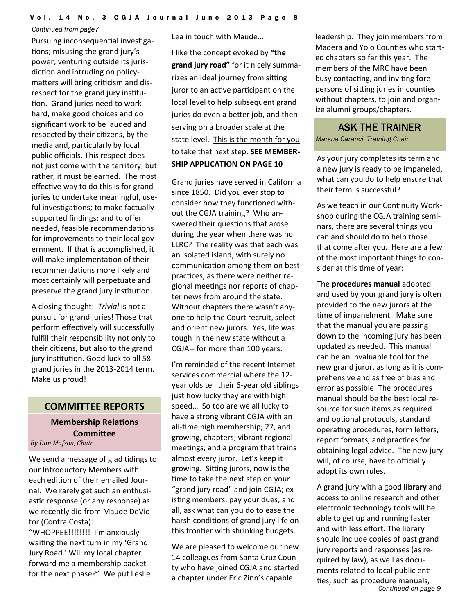Pursuing inconsequential investigations; misusing the grand jury's power; venturing outside its juris‐ diction and intruding on policymatters will bring criticism and disrespect for the grand jury institution. Grand juries need to work hard, make good choices and do significant work to be lauded and respected by their citizens, by the media and, particularly by local public officials. This respect does not just come with the territory, but rather, it must be earned. The most effective way to do this is for grand juries to undertake meaningful, useful investigations; to make factually supported findings; and to offer needed, feasible recommendations for improvements to their local government. If that is accomplished, it will make implementation of their recommendations more likely and most certainly will perpetuate and preserve the grand jury institution.

A closing thought: *Trivial* is not a pursuit for grand juries! Those that perform effectively will successfully fulfill their responsibility not only to their citizens, but also to the grand jury institution. Good luck to all 58 grand juries in the 2013‐2014 term. Make us proud!

## **COMMITTEE REPORTS**

## **Membership Relations CommiƩee** *By Dan Mufson, Chair*

We send a message of glad tidings to our Introductory Members with each edition of their emailed Journal. We rarely get such an enthusi‐ astic response (or any response) as we recently did from Maude DeVic‐ tor (Contra Costa):

"WHOPPEE!!!!!!!! I'm anxiously waiting the next turn in my 'Grand Jury Road.' Will my local chapter forward me a membership packet for the next phase?" We put Leslie Lea in touch with Maude…

I like the concept evoked by **"the grand jury road"** for it nicely summa‐ rizes an ideal journey from sitting juror to an active participant on the local level to help subsequent grand juries do even a better job, and then serving on a broader scale at the state level. This is the month for you to take that next step. **SEE MEMBER‐ SHIP APPLICATION ON PAGE 10**

Grand juries have served in California since 1850. Did you ever stop to consider how they functioned without the CGJA training? Who an‐ swered their questions that arose during the year when there was no LLRC? The reality was that each was an isolated island, with surely no communication among them on best practices, as there were neither regional meetings nor reports of chapter news from around the state. Without chapters there wasn't any‐ one to help the Court recruit, select and orient new jurors. Yes, life was tough in the new state without a CGJA‐‐ for more than 100 years.

I'm reminded of the recent Internet services commercial where the 12‐ year olds tell their 6‐year old siblings just how lucky they are with high speed… So too are we all lucky to have a strong vibrant CGJA with an all-time high membership; 27, and growing, chapters; vibrant regional meetings; and a program that trains almost every juror. Let's keep it growing. Sitting jurors, now is the time to take the next step on your "grand jury road" and join CGJA; ex‐ isting members, pay your dues; and all, ask what can you do to ease the harsh conditions of grand jury life on this frontier with shrinking budgets.

We are pleased to welcome our new 14 colleagues from Santa Cruz Coun‐ ty who have joined CGJA and started a chapter under Eric Zinn's capable

leadership. They join members from Madera and Yolo Counties who started chapters so far this year. The members of the MRC have been busy contacting, and inviting forepersons of sitting juries in counties without chapters, to join and organize alumni groups/chapters.

## ASK THE TRAINER

*Marsha Caranci Training Chair* 

As your jury completes its term and a new jury is ready to be impaneled, what can you do to help ensure that their term is successful?

As we teach in our Continuity Workshop during the CGJA training semi‐ nars, there are several things you can and should do to help those that come after you. Here are a few of the most important things to con‐ sider at this time of year:

The **procedures manual** adopted and used by your grand jury is often provided to the new jurors at the time of impanelment. Make sure that the manual you are passing down to the incoming jury has been updated as needed. This manual can be an invaluable tool for the new grand juror, as long as it is com‐ prehensive and as free of bias and error as possible. The procedures manual should be the best local re‐ source for such items as required and optional protocols, standard operating procedures, form letters, report formats, and practices for obtaining legal advice. The new jury will, of course, have to officially adopt its own rules.

*Continued on page 9*  A grand jury with a good **library** and access to online research and other electronic technology tools will be able to get up and running faster and with less effort. The library should include copies of past grand jury reports and responses (as re‐ quired by law), as well as docu‐ ments related to local public entities, such as procedure manuals,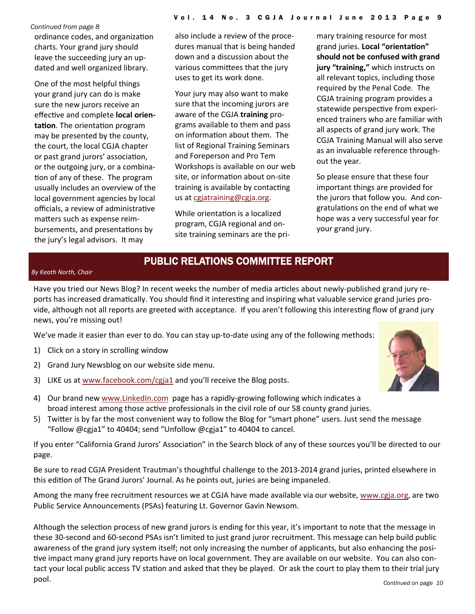*Continued from page 8*  ordinance codes, and organization charts. Your grand jury should leave the succeeding jury an up‐ dated and well organized library.

One of the most helpful things your grand jury can do is make sure the new jurors receive an effecƟve and complete **local orien‐ tation**. The orientation program may be presented by the county, the court, the local CGJA chapter or past grand jurors' association, or the outgoing jury, or a combina‐ tion of any of these. The program usually includes an overview of the local government agencies by local officials, a review of administrative matters such as expense reimbursements, and presentations by the jury's legal advisors. It may

also include a review of the proce‐ dures manual that is being handed down and a discussion about the various committees that the jury uses to get its work done.

Your jury may also want to make sure that the incoming jurors are aware of the CGJA **training** pro‐ grams available to them and pass on information about them. The list of Regional Training Seminars and Foreperson and Pro Tem Workshops is available on our web site, or information about on-site training is available by contacting us at [cgjatraining@cgja.org](mailto:cgjatraining@cgja.org).

While orientation is a localized program, CGJA regional and on‐ site training seminars are the pri‐ mary training resource for most grand juries. **Local "orientaƟon" should not be confused with grand jury "training,"** which instructs on all relevant topics, including those required by the Penal Code. The CGJA training program provides a statewide perspective from experienced trainers who are familiar with all aspects of grand jury work. The CGJA Training Manual will also serve as an invaluable reference through‐ out the year.

So please ensure that these four important things are provided for the jurors that follow you. And con‐ gratulations on the end of what we hope was a very successful year for your grand jury.

## PUBLIC RELATIONS COMMITTEE REPORT

### *By Keath North, Chair*

Have you tried our News Blog? In recent weeks the number of media articles about newly-published grand jury reports has increased dramatically. You should find it interesting and inspiring what valuable service grand juries provide, although not all reports are greeted with acceptance. If you aren't following this interesting flow of grand jury news, you're missing out!

We've made it easier than ever to do. You can stay up-to-date using any of the following methods:

- 1) Click on a story in scrolling window
- 2) Grand Jury Newsblog on our website side menu.
- 3) LIKE us at [www.facebook.com/cgja1](http://www.facebook.com/cgja1) and you'll receive the Blog posts.
- 4) Our brand new [www.LinkedIn.com](http://www.linkedin.com/) page has a rapidly-growing following which indicates a broad interest among those active professionals in the civil role of our 58 county grand juries.
- 5) TwiƩer is by far the most convenient way to follow the Blog for "smart phone" users. Just send the message "Follow @cgja1" to 40404; send "Unfollow @cgja1" to 40404 to cancel.

If you enter "California Grand Jurors' Association" in the Search block of any of these sources you'll be directed to our page.

Be sure to read CGJA President Trautman's thoughtful challenge to the 2013-2014 grand juries, printed elsewhere in this edition of The Grand Jurors' Journal. As he points out, juries are being impaneled.

Among the many free recruitment resources we at CGJA have made available via our website, [www.cgja.org](http://www.cgja.org/), are two Public Service Announcements (PSAs) featuring Lt. Governor Gavin Newsom.

Although the selection process of new grand jurors is ending for this year, it's important to note that the message in these 30‐second and 60‐second PSAs isn't limited to just grand juror recruitment. This message can help build public awareness of the grand jury system itself; not only increasing the number of applicants, but also enhancing the positive impact many grand jury reports have on local government. They are available on our website. You can also contact your local public access TV station and asked that they be played. Or ask the court to play them to their trial jury pool.

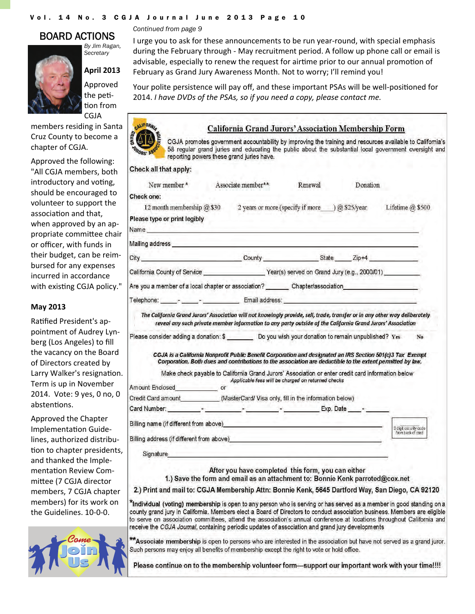#### Vol. 14 No. 3 CGJA Journal June 2013 Page 10

## BOARD ACTIONS



*By Jim Ragan, Secretary* 

**April 2013** Approved the peti-Ɵon from CGJA

members residing in Santa Cruz County to become a chapter of CGJA.

Approved the following: "All CGJA members, both introductory and voting, should be encouraged to volunteer to support the association and that, when approved by an appropriate commiƩee chair or officer, with funds in their budget, can be reim‐ bursed for any expenses incurred in accordance with existing CGJA policy."

### **May 2013**

Ratified President's appointment of Audrey Lyn‐ berg (Los Angeles) to fill the vacancy on the Board of Directors created by Larry Walker's resignation. Term is up in November 2014. Vote: 9 yes, 0 no, 0 abstentions.

Approved the Chapter Implementation Guidelines, authorized distribu‐ tion to chapter presidents, and thanked the Imple‐ mentation Review Committee (7 CGJA director members, 7 CGJA chapter members) for its work on the Guidelines. 10‐0‐0.



*Continued from page 9* 

I urge you to ask for these announcements to be run year‐round, with special emphasis during the February through ‐ May recruitment period. A follow up phone call or email is advisable, especially to renew the request for airtime prior to our annual promotion of February as Grand Jury Awareness Month. Not to worry; I'll remind you!

Your polite persistence will pay off, and these important PSAs will be well-positioned for 2014. *I have DVDs of the PSAs, so if you need a copy, please contact me.*

> **California Grand Jurors' Association Membership Form** CGJA promotes government accountability by improving the training and resources available to Califomia's



| Check all that apply:                                                                                                                                                                                                                             |                                                                                                            |                                                    |          |                                                                                                            |
|---------------------------------------------------------------------------------------------------------------------------------------------------------------------------------------------------------------------------------------------------|------------------------------------------------------------------------------------------------------------|----------------------------------------------------|----------|------------------------------------------------------------------------------------------------------------|
|                                                                                                                                                                                                                                                   |                                                                                                            |                                                    |          |                                                                                                            |
| New member*                                                                                                                                                                                                                                       | Associate member**                                                                                         | Renewal                                            | Donation |                                                                                                            |
| Check one:                                                                                                                                                                                                                                        |                                                                                                            |                                                    |          |                                                                                                            |
| 12 month membership @ \$30 2 years or more (specify if more ___) @ \$25/year Lifetime @ \$500                                                                                                                                                     |                                                                                                            |                                                    |          |                                                                                                            |
| Please type or print legibly                                                                                                                                                                                                                      |                                                                                                            |                                                    |          |                                                                                                            |
| Name and the contract of the contract of the contract of the contract of the contract of the contract of the contract of the contract of the contract of the contract of the contract of the contract of the contract of the c                    |                                                                                                            |                                                    |          |                                                                                                            |
|                                                                                                                                                                                                                                                   |                                                                                                            |                                                    |          |                                                                                                            |
| City County County State Zip+4                                                                                                                                                                                                                    |                                                                                                            |                                                    |          |                                                                                                            |
|                                                                                                                                                                                                                                                   |                                                                                                            |                                                    |          |                                                                                                            |
| Are you a member of a local chapter or association? __________ Chapter/association__________________                                                                                                                                              |                                                                                                            |                                                    |          |                                                                                                            |
| Telephone: Production of Email address: Production of the Contract of Telephone: Production of Telephone: Production of Telephone: Production of Telephone: Production of Telephone: Production of Telephone: Production of Te                    |                                                                                                            |                                                    |          |                                                                                                            |
|                                                                                                                                                                                                                                                   | Corporation. Both dues and contributions to the association are deductible to the extent permitted by law. |                                                    |          |                                                                                                            |
|                                                                                                                                                                                                                                                   | Make check payable to California Grand Jurors' Association or enter credit card information below          |                                                    |          | CGJA is a California Nonprofit Public Benefit Corporation and designated an IRS Section 501(c)3 Tax Exempt |
|                                                                                                                                                                                                                                                   |                                                                                                            | Applicable fees will be charged on returned checks |          |                                                                                                            |
|                                                                                                                                                                                                                                                   |                                                                                                            |                                                    |          |                                                                                                            |
| Amount Enclosed or<br>Credit Card amount____________(MasterCard/ Visa only, fill in the information below)                                                                                                                                        |                                                                                                            |                                                    |          |                                                                                                            |
|                                                                                                                                                                                                                                                   |                                                                                                            |                                                    |          |                                                                                                            |
|                                                                                                                                                                                                                                                   |                                                                                                            |                                                    |          | 3 digit security code<br>from back of card                                                                 |
| Billing name (if different from above) example and the contract of the contract of the contract of the contract of                                                                                                                                |                                                                                                            |                                                    |          |                                                                                                            |
| Signature and the state of the state of the state of the state of the state of the state of the state of the state of the state of the state of the state of the state of the state of the state of the state of the state of                     |                                                                                                            |                                                    |          |                                                                                                            |
|                                                                                                                                                                                                                                                   | After you have completed this form, you can either                                                         |                                                    |          |                                                                                                            |
|                                                                                                                                                                                                                                                   | 1.) Save the form and email as an attachment to: Bonnie Kenk parroted@cox.net                              |                                                    |          |                                                                                                            |
| 2.) Print and mail to: CGJA Membership Attn: Bonnie Kenk, 5645 Dartford Way, San Diego, CA 92120                                                                                                                                                  |                                                                                                            |                                                    |          |                                                                                                            |
| *Individual (voting) membership is open to any person who is serving or has served as a member in good standing on a<br>county grand jury in California. Members elect a Board of Directors to conduct association business. Members are eligible |                                                                                                            |                                                    |          |                                                                                                            |

\*\*Associate membership is open to persons who are interested in the association but have not served as a grand juror. Such persons may enjoy all benefits of membership except the right to vote or hold office.

receive the CGJA Journal, containing periodic updates of association and grand jury developments

Please continue on to the membership volunteer form—support our important work with your time!!!!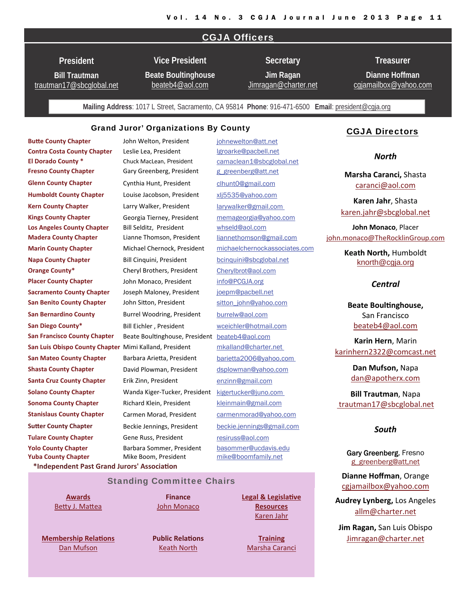## CGJA Officers

**President** 

**Bill Trautman** [trautman17@sbcglobal.net](mailto:trautman17@sbcglobal.net)

**Vice President Beate Boultinghouse**

[beateb4@aol.com](mailto:beateb4@aol.com)

**Secretary Jim Ragan**  [Jimragan@charter.net](mailto:Jimragan2charter.net)

**Dianne Hoffman**  [cgjamailbox@yahoo.com](mailto:cgjamailbox@yahoo.com)

**Treasurer** 

**Mailing Address**: 1017 L Street, Sacramento, CA 95814 **Phone**: 916-471-6500 **Email**: [president@cgja.org](mailto:president@cgja.org)

### Grand Juror' Organizations By County

**\*Independent Past Grand Jurors' AssociaƟon**

**BuƩe County Chapter**  John Welton, President [johnewelton@att.net](mailto:johnewelton@att.net) **Contra Costa County Chapter**  Leslie Lea, President [lgroarke@pacbell.net](mailto:lgroarke@pacbell.net) **El Dorado County \*** Chuck MacLean, President [camaclean1@sbcglobal.net](mailto:%20camaclean1@sbcglobal.net) **Fresno County Chapter** Gary Greenberg, President [g\\_greenberg@att.net](mailto:g_greenberg@att.net) **Glenn County Chapter** Cynthia Hunt, President [clhunt0@gmail.com](mailto:clhunt0@gmail.com) **Humboldt County Chapter** Louise Jacobson, President [xlj5535@yahoo.com](mailto:xlj5535@yahoo.com) **Kern County Chapter** Larry Walker, President [larywalker@gmail.com](mailto:larywalker@gmail.com)  **Kings County Chapter** Georgia Tierney, President [memageorgia@yahoo.com](mailto:memageorgia@yahoo.com) **Los Angeles County Chapter** Bill Selditz, President [whseld@aol.com](mailto:whseld@aol.com) **Marin County Chapter** Michael Chernock, President [michaelchernockassociate](mailto:liannethompson@gmail.com)[s.com](mailto:karinhern2322@comcast.net) **Napa County Chapter** Bill Cinquini, President binquini@sbcglobal.net **Orange County\*** Cheryl Brothers, President [Cherylbrot@aol.com](mailto:Cherylbrot@aol.com) **Placer County Chapter** John Monaco, President [info@PCGJA.org](mailto:info@PCGJA.org) **Sacramento County Chapter**  Joseph Maloney, President [joepm@pacbell.net](mailto:joepm@pacbell.net) **San Benito County Chapter** John Sitton, President sitton john@yahoo.com **San Bernardino County Burrel Woodring, President** [burrelw@aol.com](mailto:burrelw@aol.com) **San Diego County\*** Bill Eichler , President [wceichler@hotmail.com](mailto:wceichler@hotmail.com) **San Francisco County Chapter** Beate Boultinghouse, President [beateb4@aol.com](mailto:beateb4@aol.com) **San Luis Obispo County Chapter** Mimi Kalland, President [mkalland@charter.net](mailto:mkalland@charter.net)  **San Mateo County Chapter**  Barbara ArieƩa, President [barietta2006@yahoo.com](mailto:barietta2006@yahoo.com)  **Shasta County Chapter David Plowman, President [dsplowman@yahoo.com](mailto:dsplowman@yahoo.com) Solano County Chapter Wanda Kiger-Tucker, President Kigertucker@juno.com Sonoma County Chapter** Richard Klein, President [kleinmain@gmail.com](mailto:kleinmain@gmail.com) **Stanislaus County Chapter** Carmen Morad, President carmenmorad@yahoo.com **SuƩer County Chapter** Beckie Jennings, President [beckie.jennings@gmail.com](mailto:carmenmorad@yahoo.com) **Tulare County Chapter** Gene Russ, President [resiruss@aol.com](mailto:resiruss@aol.com) **Yuba County Chapter** Mike Boom, President m[ike@boomfamily.net](mailto:Mike@boomfamily.net) **Yolo County Chapter** Barbara Sommer, President [basommer@ucdavis.edu](mailto:basommer@ucdavis.edu) **Madera County Chapter** Lianne Thomson, President liannethomson@gmail.com **Santa Cruz County Chapter** Erik Zinn, President [enzinn@gmail.com](mailto:enzinn@gmail.com)

### CGJA Directors

*North*

**Marsha Caranci,** Shasta [caranci@aol.com](mailto:caranci@aol.com)

**Karen Jahr**, Shasta [karen.jahr@sbcglobal.net](mailto:Karen.jahr@sbcglobal.net)

**John Monaco**, Placer [john.monaco@TheRocklinGroup.com](mailto:john.monaco@TheRocklinGroup.com)

> **Keath North,** Humboldt [knorth@cgja.org](mailto:knorth@cgja.org)

#### *Central*

**Beate BoulƟnghouse,** San Francisco [beateb4@aol.com](mailto:beateb4@aol.com)

**Karin Hern**, Marin [karinhern2322@comcast.net](mailto:karinhern2322@comcast.net)

> **Dan Mufson,** Napa [dan@apotherx.com](mailto:dan@apotherx.com)

**Bill Trautman**, Napa [trautman17@sbcglobal.net](mailto:trautman17@sbcglobal.net)

#### *South*

Gary Greenberg, Fresno [g\\_greenberg@att,net](mailto:g_greenberg@att.net)

**Dianne Hoffman**, Orange [cgjamailbox@yahoo.com](mailto:cgjamailbox@yahoo.com)

**Audrey Lynberg,** Los Angeles [allm@charter.net](mailto:http://allm@charter.net)

**Jim Ragan,** San Luis Obispo [Jimragan@charter.net](mailto:Jimragan2charter.net)

Standing Committee Chairs

**[Awards](http://cgja.org/cgja-awards)** Betty J. [Ma](mailto:bjmattea@sonic.net)ttea

**[Membership](http://cgja.org/joinsupport) RelaƟons** Dan [Mufson](mailto:dan@apotherx.com)

**Public Relations** Keath [North](mailto:krn48@aol.com)

**Finance** John [Monaco](mailto:john.monaco@TheRocklinGroup.com)

> [Karen](mailto:Karen.jahr@sbcglobal.net) Jahr **[Training](http://cgja.org/training-general-information)**

**Legal & [Legisla](http://cgja.org/legislative-affairs)Ɵve [Resources](http://cgja.org/legislative-affairs)**

[Marsha](mailto:cgjatraining@cgja.org) Caranci